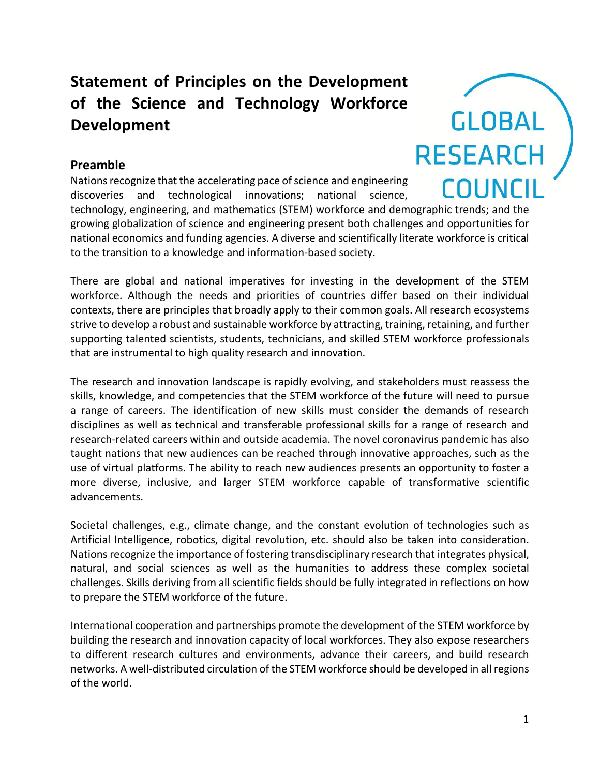## **Statement of Principles on the Development of the Science and Technology Workforce Development**

## **Preamble**

Nations recognize that the accelerating pace of science and engineering discoveries and technological innovations; national science,

technology, engineering, and mathematics (STEM) workforce and demographic trends; and the growing globalization of science and engineering present both challenges and opportunities for national economics and funding agencies. A diverse and scientifically literate workforce is critical to the transition to a knowledge and information-based society.

There are global and national imperatives for investing in the development of the STEM workforce. Although the needs and priorities of countries differ based on their individual contexts, there are principles that broadly apply to their common goals. All research ecosystems strive to develop a robust and sustainable workforce by attracting, training, retaining, and further supporting talented scientists, students, technicians, and skilled STEM workforce professionals that are instrumental to high quality research and innovation.

The research and innovation landscape is rapidly evolving, and stakeholders must reassess the skills, knowledge, and competencies that the STEM workforce of the future will need to pursue a range of careers. The identification of new skills must consider the demands of research disciplines as well as technical and transferable professional skills for a range of research and research-related careers within and outside academia. The novel coronavirus pandemic has also taught nations that new audiences can be reached through innovative approaches, such as the use of virtual platforms. The ability to reach new audiences presents an opportunity to foster a more diverse, inclusive, and larger STEM workforce capable of transformative scientific advancements.

Societal challenges, e.g., climate change, and the constant evolution of technologies such as Artificial Intelligence, robotics, digital revolution, etc. should also be taken into consideration. Nations recognize the importance of fostering transdisciplinary research that integrates physical, natural, and social sciences as well as the humanities to address these complex societal challenges. Skills deriving from all scientific fields should be fully integrated in reflections on how to prepare the STEM workforce of the future.

International cooperation and partnerships promote the development of the STEM workforce by building the research and innovation capacity of local workforces. They also expose researchers to different research cultures and environments, advance their careers, and build research networks. A well-distributed circulation of the STEM workforce should be developed in all regions of the world.

**GLOBAL** 

**RESEARCH** 

COUNCIL